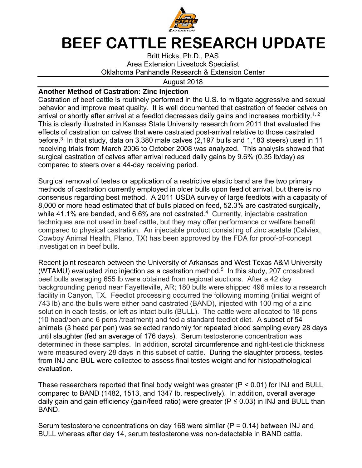

## **BEEF CATTLE RESEARCH UPDATE**

Britt Hicks, Ph.D., PAS Area Extension Livestock Specialist Oklahoma Panhandle Research & Extension Center

## August 2018

## **Another Method of Castration: Zinc Injection**

Castration of beef cattle is routinely performed in the U.S. to mitigate aggressive and sexual behavior and improve meat quality. It is well documented that castration of feeder calves on arrival or shortly after arrival at a feedlot decreases daily gains and increases morbidity.<sup>1, 2</sup> This is clearly illustrated in Kansas State University research from 2011 that evaluated the effects of castration on calves that were castrated post-arrival relative to those castrated before.<sup>3</sup> In that study, data on 3,380 male calves (2,197 bulls and 1,183 steers) used in 11 receiving trials from March 2006 to October 2008 was analyzed. This analysis showed that surgical castration of calves after arrival reduced daily gains by 9.6% (0.35 lb/day) as compared to steers over a 44-day receiving period.

Surgical removal of testes or application of a restrictive elastic band are the two primary methods of castration currently employed in older bulls upon feedlot arrival, but there is no consensus regarding best method. A 2011 USDA survey of large feedlots with a capacity of 8,000 or more head estimated that of bulls placed on feed, 52.3% are castrated surgically, while 41.1% are banded, and 6.6% are not castrated.<sup>4</sup> Currently, injectable castration techniques are not used in beef cattle, but they may offer performance or welfare benefit compared to physical castration. An injectable product consisting of zinc acetate (Calviex, Cowboy Animal Health, Plano, TX) has been approved by the FDA for proof-of-concept investigation in beef bulls.

Recent joint research between the University of Arkansas and West Texas A&M University (WTAMU) evaluated zinc injection as a castration method.<sup>5</sup> In this study, 207 crossbred beef bulls averaging 655 lb were obtained from regional auctions. After a 42 day backgrounding period near Fayetteville, AR; 180 bulls were shipped 496 miles to a research facility in Canyon, TX. Feedlot processing occurred the following morning (initial weight of 743 lb) and the bulls were either band castrated (BAND), injected with 100 mg of a zinc solution in each testis, or left as intact bulls (BULL). The cattle were allocated to 18 pens (10 head/pen and 6 pens /treatment) and fed a standard feedlot diet. A subset of 54 animals (3 head per pen) was selected randomly for repeated blood sampling every 28 days until slaughter (fed an average of 176 days). Serum testosterone concentration was determined in these samples. In addition, scrotal circumference and right-testicle thickness were measured every 28 days in this subset of cattle. During the slaughter process, testes from INJ and BUL were collected to assess final testes weight and for histopathological evaluation.

These researchers reported that final body weight was greater ( $P < 0.01$ ) for INJ and BULL compared to BAND (1482, 1513, and 1347 lb, respectively). In addition, overall average daily gain and gain efficiency (gain/feed ratio) were greater ( $P \le 0.03$ ) in INJ and BULL than BAND.

Serum testosterone concentrations on day 168 were similar (P = 0.14) between INJ and BULL whereas after day 14, serum testosterone was non-detectable in BAND cattle.